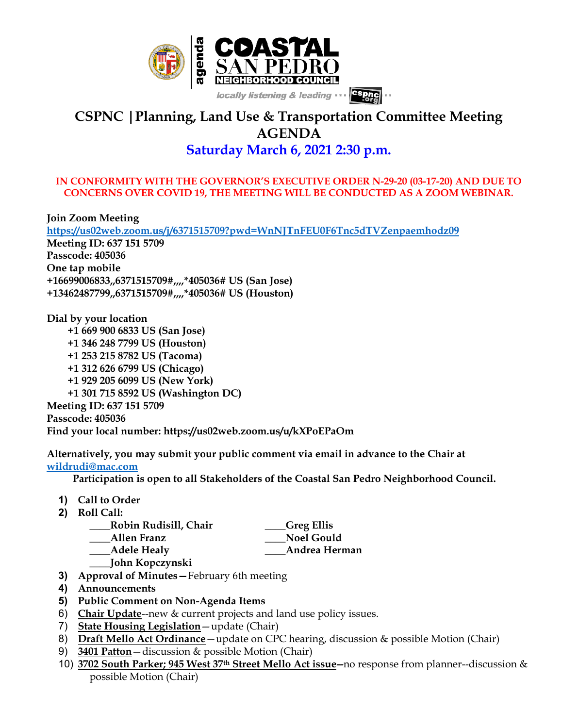

## **CSPNC |Planning, Land Use & Transportation Committee Meeting AGENDA Saturday March 6, 2021 2:30 p.m.**

## **IN CONFORMITY WITH THE GOVERNOR'S EXECUTIVE ORDER N-29-20 (03-17-20) AND DUE TO CONCERNS OVER COVID 19, THE MEETING WILL BE CONDUCTED AS A ZOOM WEBINAR.**

**Join Zoom Meeting https://us02web.zoom.us/j/6371515709?pwd=WnNJTnFEU0F6Tnc5dTVZenpaemhodz09 Meeting ID: 637 151 5709 Passcode: 405036 One tap mobile +16699006833,,6371515709#,,,,\*405036# US (San Jose) +13462487799,,6371515709#,,,,\*405036# US (Houston)**

**Dial by your location +1 669 900 6833 US (San Jose) +1 346 248 7799 US (Houston) +1 253 215 8782 US (Tacoma) +1 312 626 6799 US (Chicago) +1 929 205 6099 US (New York) +1 301 715 8592 US (Washington DC) Meeting ID: 637 151 5709 Passcode: 405036 Find your local number: https://us02web.zoom.us/u/kXPoEPaOm**

**Alternatively, you may submit your public comment via email in advance to the Chair at wildrudi@mac.com**

 **Participation is open to all Stakeholders of the Coastal San Pedro Neighborhood Council.**

- **1) Call to Order**
- **2) Roll Call:**

| Robin Rudisill, Chair | Greg Ellis        |
|-----------------------|-------------------|
| <b>Allen Franz</b>    | <b>Noel Gould</b> |
| Adele Healy           | Andrea Herman     |
| John Kopczynski       |                   |

- **3) Approval of Minutes—**February 6th meeting
- **4) Announcements**
- **5) Public Comment on Non-Agenda Items**
- 6) **Chair Update**--new & current projects and land use policy issues.
- 7) **State Housing Legislation**—update (Chair)
- 8) **Draft Mello Act Ordinance**—update on CPC hearing, discussion & possible Motion (Chair)
- 9) **3401 Patton**—discussion & possible Motion (Chair)
- 10) **3702 South Parker; 945 West 37th Street Mello Act issue--**no response from planner--discussion & possible Motion (Chair)